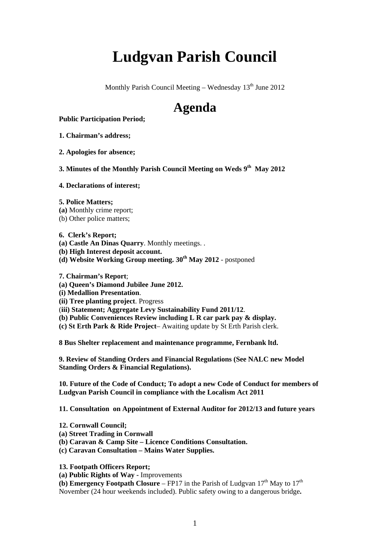# **Ludgvan Parish Council**

Monthly Parish Council Meeting – Wednesday  $13<sup>th</sup>$  June 2012

## **Agenda**

**Public Participation Period;** 

**1. Chairman's address;** 

**2. Apologies for absence;** 

**3. Minutes of the Monthly Parish Council Meeting on Weds 9<sup>th</sup> May 2012** 

#### **4. Declarations of interest;**

- **5. Police Matters;**
- **(a)** Monthly crime report;
- (b) Other police matters;

#### **6. Clerk's Report;**

- **(a) Castle An Dinas Quarry**. Monthly meetings. .
- **(b) High Interest deposit account.**
- **(d) Website Working Group meeting. 30th May 2012**  postponed

#### **7. Chairman's Report**;

- **(a) Queen's Diamond Jubilee June 2012.**
- **(i) Medallion Presentation**.
- **(ii) Tree planting project**. Progress
- (**iii) Statement; Aggregate Levy Sustainability Fund 2011/12**.
- **(b) Public Conveniences Review including L R car park pay & display.**
- **(c) St Erth Park & Ride Project** Awaiting update by St Erth Parish clerk.

**8 Bus Shelter replacement and maintenance programme, Fernbank ltd.** 

**9. Review of Standing Orders and Financial Regulations (See NALC new Model Standing Orders & Financial Regulations).** 

**10. Future of the Code of Conduct; To adopt a new Code of Conduct for members of Ludgvan Parish Council in compliance with the Localism Act 2011** 

**11. Consultation on Appointment of External Auditor for 2012/13 and future years** 

- **12. Cornwall Council;**
- **(a) Street Trading in Cornwall**
- **(b) Caravan & Camp Site Licence Conditions Consultation.**
- **(c) Caravan Consultation Mains Water Supplies.**

#### **13. Footpath Officers Report;**

**(a) Public Rights of Way -** Improvements

**(b) Emergency Footpath Closure – FP17** in the Parish of Ludgvan  $17<sup>th</sup>$  May to  $17<sup>th</sup>$ November (24 hour weekends included). Public safety owing to a dangerous bridge**.**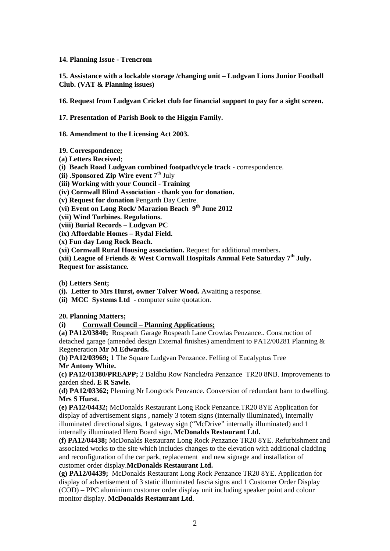#### **14. Planning Issue - Trencrom**

**15. Assistance with a lockable storage /changing unit – Ludgvan Lions Junior Football Club. (VAT & Planning issues)** 

**16. Request from Ludgvan Cricket club for financial support to pay for a sight screen.** 

**17. Presentation of Parish Book to the Higgin Family.** 

**18. Amendment to the Licensing Act 2003.** 

**19. Correspondence;**

**(a) Letters Received**;

**(i) Beach Road Ludgvan combined footpath/cycle track** - correspondence.

**(ii) .Sponsored Zip Wire event**  $7<sup>th</sup>$  July

**(iii) Working with your Council - Training** 

**(iv) Cornwall Blind Association - thank you for donation.** 

**(v) Request for donation** Pengarth Day Centre.

**(vi) Event on Long Rock/ Marazion Beach 9th June 2012** 

**(vii) Wind Turbines. Regulations.** 

**(viii) Burial Records – Ludgvan PC** 

**(ix) Affordable Homes – Rydal Field.** 

**(x) Fun day Long Rock Beach.** 

**(xi) Cornwall Rural Housing association.** Request for additional members**.** 

(xii) League of Friends & West Cornwall Hospitals Annual Fete Saturday 7<sup>th</sup> July. **Request for assistance.** 

**(b) Letters Sent;** 

**(i). Letter to Mrs Hurst, owner Tolver Wood.** Awaiting a response.

**(ii) MCC Systems Ltd** - computer suite quotation.

#### **20. Planning Matters;**

**(i) Cornwall Council – Planning Applications;**

**(a) PA12/03840;** Rospeath Garage Rospeath Lane Crowlas Penzance.. Construction of detached garage (amended design External finishes) amendment to PA12/00281 Planning & Regeneration **Mr M Edwards.** 

**(b) PA12/03969;** 1 The Square Ludgvan Penzance. Felling of Eucalyptus Tree **Mr Antony White.** 

**(c) PA12/01380/PREAPP;** 2 Baldhu Row Nancledra Penzance TR20 8NB. Improvements to garden shed**. E R Sawle.** 

**(d) PA12/03362;** Pleming Nr Longrock Penzance. Conversion of redundant barn to dwelling. **Mrs S Hurst.** 

**(e) PA12/04432;** McDonalds Restaurant Long Rock Penzance.TR20 8YE Application for display of advertisement signs , namely 3 totem signs (internally illuminated), internally illuminated directional signs, 1 gateway sign ("McDrive" internally illuminated) and 1 internally illuminated Hero Board sign. **McDonalds Restaurant Ltd.** 

**(f) PA12/04438;** McDonalds Restaurant Long Rock Penzance TR20 8YE. Refurbishment and associated works to the site which includes changes to the elevation with additional cladding and reconfiguration of the car park, replacement and new signage and installation of customer order display.**McDonalds Restaurant Ltd.** 

**(g) PA12/04439;** McDonalds Restaurant Long Rock Penzance TR20 8YE. Application for display of advertisement of 3 static illuminated fascia signs and 1 Customer Order Display (COD) – PPC aluminium customer order display unit including speaker point and colour monitor display. **McDonalds Restaurant Ltd**.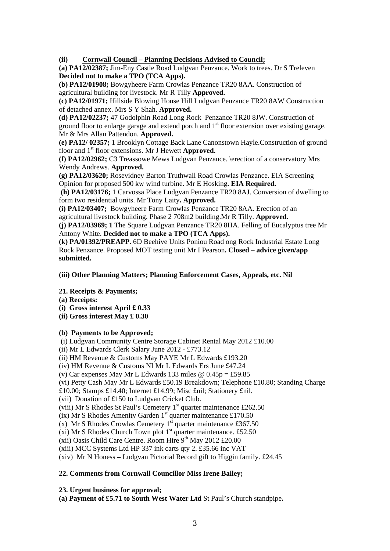**(ii) Cornwall Council – Planning Decisions Advised to Council;**

**(a) PA12/02387;** Jim-Eny Castle Road Ludgvan Penzance. Work to trees. Dr S Treleven **Decided not to make a TPO (TCA Apps).** 

**(b) PA12/01908;** Bowgyheere Farm Crowlas Penzance TR20 8AA. Construction of agricultural building for livestock. Mr R Tilly **Approved.**

**(c) PA12/01971;** Hillside Blowing House Hill Ludgvan Penzance TR20 8AW Construction of detached annex. Mrs S Y Shah. **Approved.** 

**(d) PA12/02237;** 47 Godolphin Road Long Rock Penzance TR20 8JW. Construction of ground floor to enlarge garage and extend porch and 1<sup>st</sup> floor extension over existing garage. Mr & Mrs Allan Pattendon. **Approved.** 

**(e) PA12/ 02357;** 1 Brooklyn Cottage Back Lane Canonstown Hayle.Construction of ground floor and 1<sup>st</sup> floor extensions. Mr J Hewett **Approved.** 

**(f) PA12/02962;** C3 Treassowe Mews Ludgvan Penzance. \erection of a conservatory Mrs Wendy Andrews. **Approved.** 

**(g) PA12/03620;** Rosevidney Barton Truthwall Road Crowlas Penzance. EIA Screening Opinion for proposed 500 kw wind turbine. Mr E Hosking**. EIA Required.** 

 **(h) PA12/03176;** 1 Carvossa Place Ludgvan Penzance TR20 8AJ. Conversion of dwelling to form two residential units. Mr Tony Laity**. Approved.** 

**(i) PA12/03407;** Bowgyheere Farm Crowlas Penzance TR20 8AA. Erection of an agricultural livestock building. Phase 2 708m2 building.Mr R Tilly. **Approved.** 

**(j) PA12/03969; 1** The Square Ludgvan Penzance TR20 8HA. Felling of Eucalyptus tree Mr Antony White. **Decided not to make a TPO (TCA Apps).** 

**(k) PA/01392/PREAPP.** 6D Beehive Units Poniou Road ong Rock Industrial Estate Long Rock Penzance. Proposed MOT testing unit Mr I Pearson**. Closed – advice given/app submitted.** 

**(iii) Other Planning Matters; Planning Enforcement Cases, Appeals, etc. Nil** 

#### **21. Receipts & Payments;**

- **(a) Receipts:**
- **(i) Gross interest April £ 0.33**
- **(ii) Gross interest May £ 0.30**

#### **(b) Payments to be Approved;**

(i) Ludgvan Community Centre Storage Cabinet Rental May 2012 £10.00

(ii) Mr L Edwards Clerk Salary June 2012 - £773.12

(ii) HM Revenue & Customs May PAYE Mr L Edwards £193.20

(iv) HM Revenue & Customs NI Mr L Edwards Ers June £47.24

(v) Car expenses May Mr L Edwards 133 miles  $\omega$  0.45p = £59.85

(vi) Petty Cash May Mr L Edwards £50.19 Breakdown; Telephone £10.80; Standing Charge

£10.00; Stamps £14.40; Internet £14.99; Misc £nil; Stationery £nil.

(vii) Donation of £150 to Ludgvan Cricket Club.

(viii) Mr S Rhodes St Paul's Cemetery  $1<sup>st</sup>$  quarter maintenance £262.50

(ix) Mr S Rhodes Amenity Garden  $1<sup>st</sup>$  quarter maintenance £170.50

(x) Mr S Rhodes Crowlas Cemetery  $1^{st}$  quarter maintenance £367.50

(xi) Mr S Rhodes Church Town plot  $1<sup>st</sup>$  quarter maintenance. £52.50

(xii) Oasis Child Care Centre. Room Hire  $9<sup>th</sup>$  May 2012 £20.00

(xiii) MCC Systems Ltd HP 337 ink carts qty 2. £35.66 inc VAT

(xiv) Mr N Honess – Ludgvan Pictorial Record gift to Higgin family. £24.45

### **22. Comments from Cornwall Councillor Miss Irene Bailey;**

**23. Urgent business for approval;** 

**(a) Payment of £5.71 to South West Water Ltd** St Paul's Church standpipe**.**